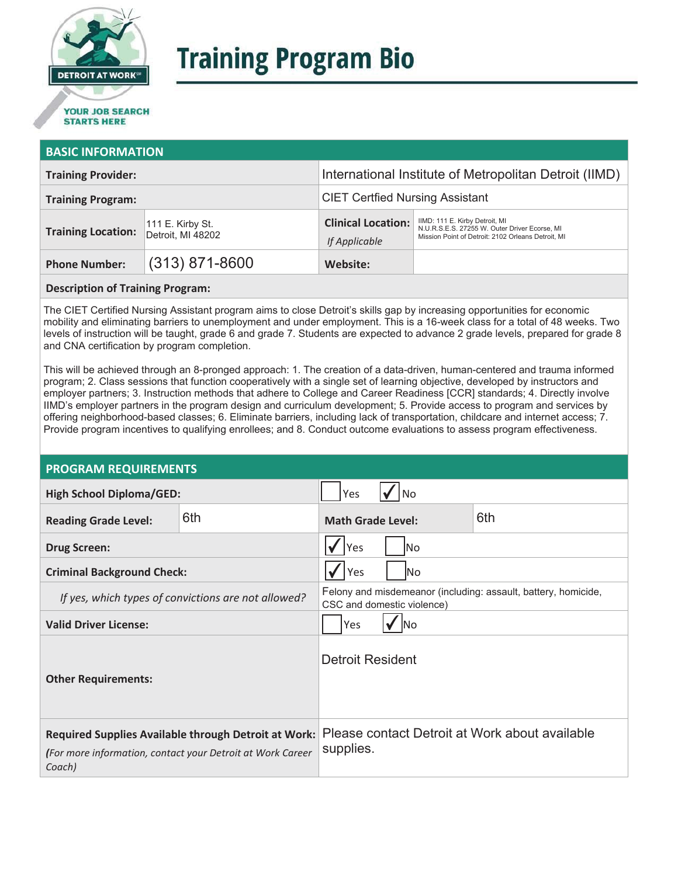

# **Training Program Bio**

## **STARTS HERE**

#### **BASIC INFORMATION**

| <b>Training Provider:</b> |                                       | International Institute of Metropolitan Detroit (IIMD) |                                                                                                                                       |  |
|---------------------------|---------------------------------------|--------------------------------------------------------|---------------------------------------------------------------------------------------------------------------------------------------|--|
| <b>Training Program:</b>  |                                       | <b>CIET Certfied Nursing Assistant</b>                 |                                                                                                                                       |  |
| <b>Training Location:</b> | 111 E. Kirby St.<br>Detroit, MI 48202 | <b>Clinical Location:</b><br>If Applicable             | IIMD: 111 E. Kirby Detroit, MI<br>N.U.R.S.E.S. 27255 W. Outer Driver Ecorse, MI<br>Mission Point of Detroit: 2102 Orleans Detroit, MI |  |
| <b>Phone Number:</b>      | $(313)$ 871-8600                      | Website:                                               |                                                                                                                                       |  |

#### **Description of Training Program:**

The CIET Certified Nursing Assistant program aims to close Detroit's skills gap by increasing opportunities for economic mobility and eliminating barriers to unemployment and under employment. This is a 16-week class for a total of 48 weeks. Two levels of instruction will be taught, grade 6 and grade 7. Students are expected to advance 2 grade levels, prepared for grade 8 and CNA certification by program completion.

This will be achieved through an 8-pronged approach: 1. The creation of a data-driven, human-centered and trauma informed program; 2. Class sessions that function cooperatively with a single set of learning objective, developed by instructors and employer partners; 3. Instruction methods that adhere to College and Career Readiness [CCR] standards; 4. Directly involve IIMD's employer partners in the program design and curriculum development; 5. Provide access to program and services by offering neighborhood-based classes; 6. Eliminate barriers, including lack of transportation, childcare and internet access; 7. Provide program incentives to qualifying enrollees; and 8. Conduct outcome evaluations to assess program effectiveness.

#### **PROGRAM REQUIREMENTS**

| <b>High School Diploma/GED:</b>                                                                                              |     | No<br>Yes                                                                                    |  |     |
|------------------------------------------------------------------------------------------------------------------------------|-----|----------------------------------------------------------------------------------------------|--|-----|
| <b>Reading Grade Level:</b>                                                                                                  | 6th | <b>Math Grade Level:</b>                                                                     |  | 6th |
| <b>Drug Screen:</b>                                                                                                          |     | Yes<br>lNo.                                                                                  |  |     |
| <b>Criminal Background Check:</b>                                                                                            |     | Yes<br>lNo                                                                                   |  |     |
| If yes, which types of convictions are not allowed?                                                                          |     | Felony and misdemeanor (including: assault, battery, homicide,<br>CSC and domestic violence) |  |     |
| <b>Valid Driver License:</b>                                                                                                 |     | Yes<br>INo                                                                                   |  |     |
| <b>Other Requirements:</b>                                                                                                   |     | <b>Detroit Resident</b>                                                                      |  |     |
| Required Supplies Available through Detroit at Work:<br>(For more information, contact your Detroit at Work Career<br>Coach) |     | Please contact Detroit at Work about available<br>supplies.                                  |  |     |